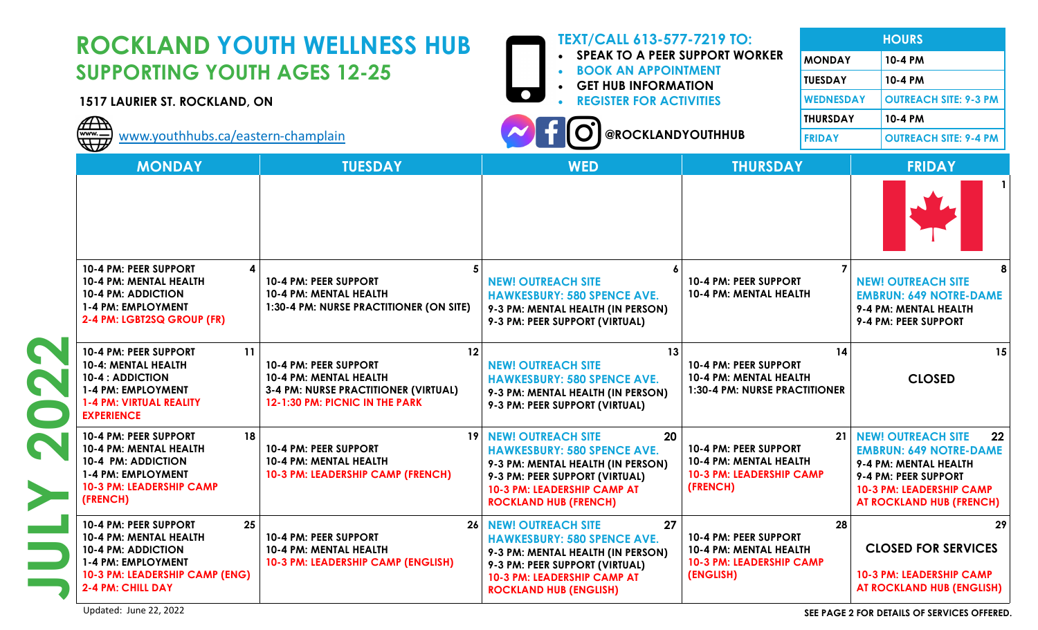| <b>ROCKLAND YOUTH WELLNESS HUB</b><br><b>SUPPORTING YOUTH AGES 12-25</b><br>1517 LAURIER ST. ROCKLAND, ON<br>$\begin{matrix} \overline{\mathbb{D}} \ \overline{\mathbb{D}} \end{matrix}$<br>www.youthhubs.ca/eastern-champlain |                                                                                                                                        | <b>TEXT/CALL 613-577-7219 TO:</b><br><b>SPEAK TO A PEER SUPPORT WORKER</b><br><b>BOOK AN APPOINTMENT</b><br><b>GET HUB INFORMATION</b><br><b>REGISTER FOR ACTIVITIES</b><br><b>@ROCKLANDYOUTHHUB</b>            |                                                                                                 | <b>MONDAY</b><br><b>TUESDAY</b><br><b>WEDNESDAY</b><br><b>THURSDAY</b><br><b>FRIDAY</b> | <b>HOURS</b><br>10-4 PM<br>10-4 PM<br><b>OUTREACH SITE: 9-3 PM</b><br>10-4 PM<br><b>OUTREACH SITE: 9-4 PM</b>                                                                    |
|--------------------------------------------------------------------------------------------------------------------------------------------------------------------------------------------------------------------------------|----------------------------------------------------------------------------------------------------------------------------------------|-----------------------------------------------------------------------------------------------------------------------------------------------------------------------------------------------------------------|-------------------------------------------------------------------------------------------------|-----------------------------------------------------------------------------------------|----------------------------------------------------------------------------------------------------------------------------------------------------------------------------------|
| <b>MONDAY</b>                                                                                                                                                                                                                  | <b>TUESDAY</b>                                                                                                                         | <b>WED</b>                                                                                                                                                                                                      | <b>THURSDAY</b>                                                                                 |                                                                                         | <b>FRIDAY</b>                                                                                                                                                                    |
|                                                                                                                                                                                                                                |                                                                                                                                        |                                                                                                                                                                                                                 |                                                                                                 |                                                                                         |                                                                                                                                                                                  |
| 10-4 PM: PEER SUPPORT<br>10-4 PM: MENTAL HEALTH<br><b>10-4 PM: ADDICTION</b><br>1-4 PM: EMPLOYMENT<br>2-4 PM: LGBT2SQ GROUP (FR)                                                                                               | 10-4 PM: PEER SUPPORT<br>10-4 PM: MENTAL HEALTH<br>1:30-4 PM: NURSE PRACTITIONER (ON SITE)                                             | <b>NEW! OUTREACH SITE</b><br><b>HAWKESBURY: 580 SPENCE AVE.</b><br>9-3 PM: MENTAL HEALTH (IN PERSON)<br>9-3 PM: PEER SUPPORT (VIRTUAL)                                                                          | 10-4 PM: PEER SUPPORT<br>10-4 PM: MENTAL HEALTH                                                 |                                                                                         | <b>NEW! OUTREACH SITE</b><br><b>EMBRUN: 649 NOTRE-DAME</b><br>9-4 PM: MENTAL HEALTH<br>9-4 PM: PEER SUPPORT                                                                      |
| 11<br>10-4 PM: PEER SUPPORT<br>10-4: MENTAL HEALTH<br><b>10-4: ADDICTION</b><br>1-4 PM: EMPLOYMENT<br><b>1-4 PM: VIRTUAL REALITY</b><br><b>EXPERIENCE</b>                                                                      | 12<br>10-4 PM: PEER SUPPORT<br>10-4 PM: MENTAL HEALTH<br><b>3-4 PM: NURSE PRACTITIONER (VIRTUAL)</b><br>12-1:30 PM: PICNIC IN THE PARK | 13<br><b>NEW! OUTREACH SITE</b><br><b>HAWKESBURY: 580 SPENCE AVE.</b><br>9-3 PM: MENTAL HEALTH (IN PERSON)<br>9-3 PM: PEER SUPPORT (VIRTUAL)                                                                    | 10-4 PM: PEER SUPPORT<br>10-4 PM: MENTAL HEALTH<br><b>1:30-4 PM: NURSE PRACTITIONER</b>         | 14                                                                                      | 15<br><b>CLOSED</b>                                                                                                                                                              |
| 18<br>10-4 PM: PEER SUPPORT<br>10-4 PM: MENTAL HEALTH<br>10-4 PM: ADDICTION<br>1-4 PM: EMPLOYMENT<br>10-3 PM: LEADERSHIP CAMP<br>(FRENCH)                                                                                      | 10-4 PM: PEER SUPPORT<br>10-4 PM: MENTAL HEALTH<br>10-3 PM: LEADERSHIP CAMP (FRENCH)                                                   | 20<br><b>19 NEW! OUTREACH SITE</b><br><b>HAWKESBURY: 580 SPENCE AVE.</b><br>9-3 PM: MENTAL HEALTH (IN PERSON)<br>9-3 PM: PEER SUPPORT (VIRTUAL)<br>10-3 PM: LEADERSHIP CAMP AT<br><b>ROCKLAND HUB (FRENCH)</b>  | 10-4 PM: PEER SUPPORT<br>10-4 PM: MENTAL HEALTH<br><b>10-3 PM: LEADERSHIP CAMP</b><br>(FRENCH)  | 21                                                                                      | <b>NEW! OUTREACH SITE</b><br>22<br><b>EMBRUN: 649 NOTRE-DAME</b><br>9-4 PM: MENTAL HEALTH<br>9-4 PM: PEER SUPPORT<br><b>10-3 PM: LEADERSHIP CAMP</b><br>AT ROCKLAND HUB (FRENCH) |
| 25<br>10-4 PM: PEER SUPPORT<br>10-4 PM: MENTAL HEALTH<br><b>10-4 PM: ADDICTION</b><br>1-4 PM: EMPLOYMENT<br>10-3 PM: LEADERSHIP CAMP (ENG)<br>2-4 PM: CHILL DAY                                                                | 10-4 PM: PEER SUPPORT<br>10-4 PM: MENTAL HEALTH<br>10-3 PM: LEADERSHIP CAMP (ENGLISH)                                                  | 27<br><b>26 NEW! OUTREACH SITE</b><br><b>HAWKESBURY: 580 SPENCE AVE.</b><br>9-3 PM: MENTAL HEALTH (IN PERSON)<br>9-3 PM: PEER SUPPORT (VIRTUAL)<br>10-3 PM: LEADERSHIP CAMP AT<br><b>ROCKLAND HUB (ENGLISH)</b> | 10-4 PM: PEER SUPPORT<br>10-4 PM: MENTAL HEALTH<br><b>10-3 PM: LEADERSHIP CAMP</b><br>(ENGLISH) | 28                                                                                      | 29<br><b>CLOSED FOR SERVICES</b><br>10-3 PM: LEADERSHIP CAMP<br><b>AT ROCKLAND HUB (ENGLISH)</b>                                                                                 |

Updated: June 22, 2022 **SEE PAGE 2 FOR DETAILS OF SERVICES OFFERED.**